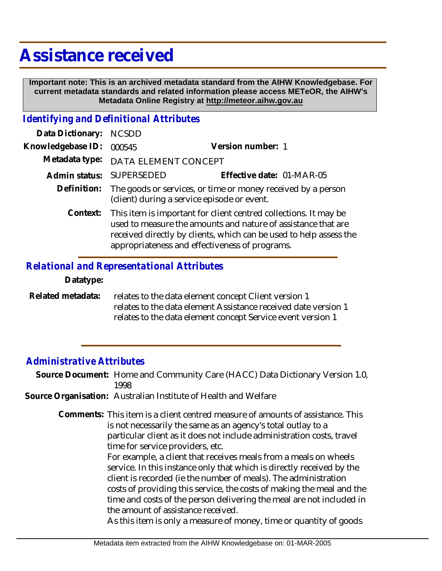## **Assistance received**

 **Important note: This is an archived metadata standard from the AIHW Knowledgebase. For current metadata standards and related information please access METeOR, the AIHW's Metadata Online Registry at http://meteor.aihw.gov.au**

## *Identifying and Definitional Attributes*

| Data Dictionary:  | <b>NCSDD</b>                                                                                                                                                                                                                                                       |                           |
|-------------------|--------------------------------------------------------------------------------------------------------------------------------------------------------------------------------------------------------------------------------------------------------------------|---------------------------|
| Knowledgebase ID: | 000545                                                                                                                                                                                                                                                             | Version number: 1         |
| Metadata type:    | DATA ELEMENT CONCEPT                                                                                                                                                                                                                                               |                           |
| Admin status:     | SUPERSEDED                                                                                                                                                                                                                                                         | Effective date: 01-MAR-05 |
| Definition:       | The goods or services, or time or money received by a person<br>(client) during a service episode or event.                                                                                                                                                        |                           |
|                   | Context: This item is important for client centred collections. It may be<br>used to measure the amounts and nature of assistance that are<br>received directly by clients, which can be used to help assess the<br>appropriateness and effectiveness of programs. |                           |

## *Relational and Representational Attributes*

**Datatype:**

relates to the data element concept Client version 1 relates to the data element Assistance received date version 1 relates to the data element concept Service event version 1 **Related metadata:**

## *Administrative Attributes*

Source Document: Home and Community Care (HACC) Data Dictionary Version 1.0, 1998

**Source Organisation:** Australian Institute of Health and Welfare

Comments: This item is a client centred measure of amounts of assistance. This is not necessarily the same as an agency's total outlay to a particular client as it does not include administration costs, travel time for service providers, etc.

> For example, a client that receives meals from a meals on wheels service. In this instance only that which is directly received by the client is recorded (ie the number of meals). The administration costs of providing this service, the costs of making the meal and the time and costs of the person delivering the meal are not included in the amount of assistance received.

As this item is only a measure of money, time or quantity of goods